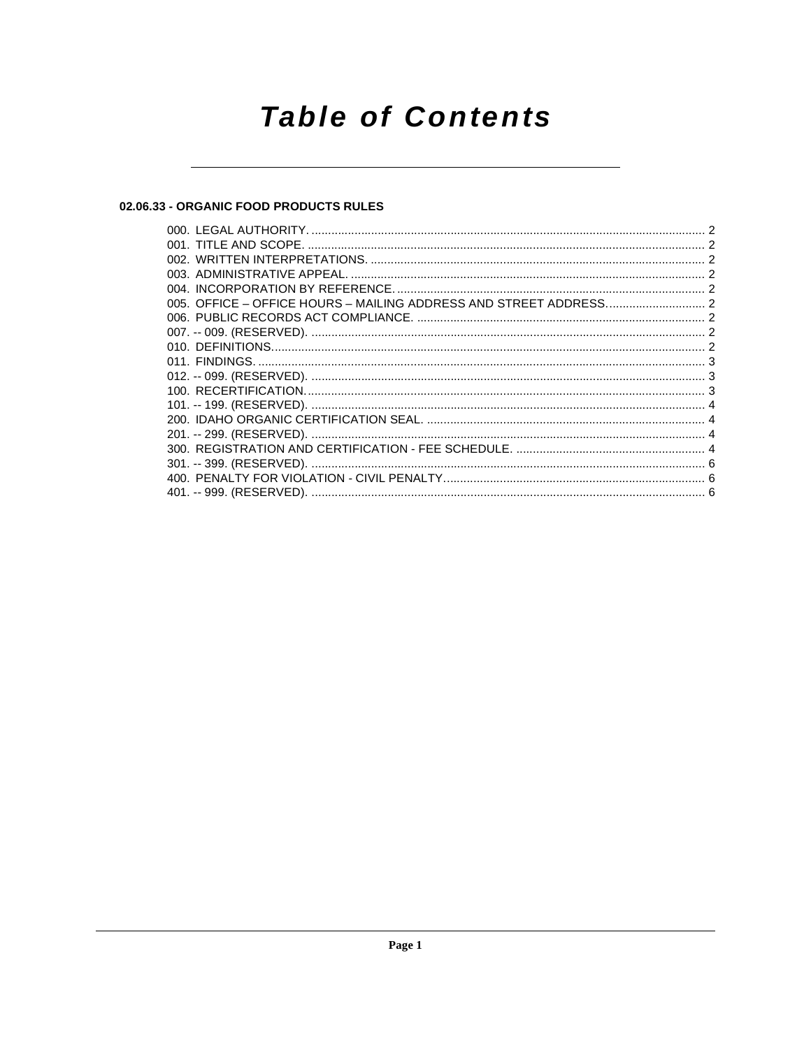## **Table of Contents**

#### 02.06.33 - ORGANIC FOOD PRODUCTS RULES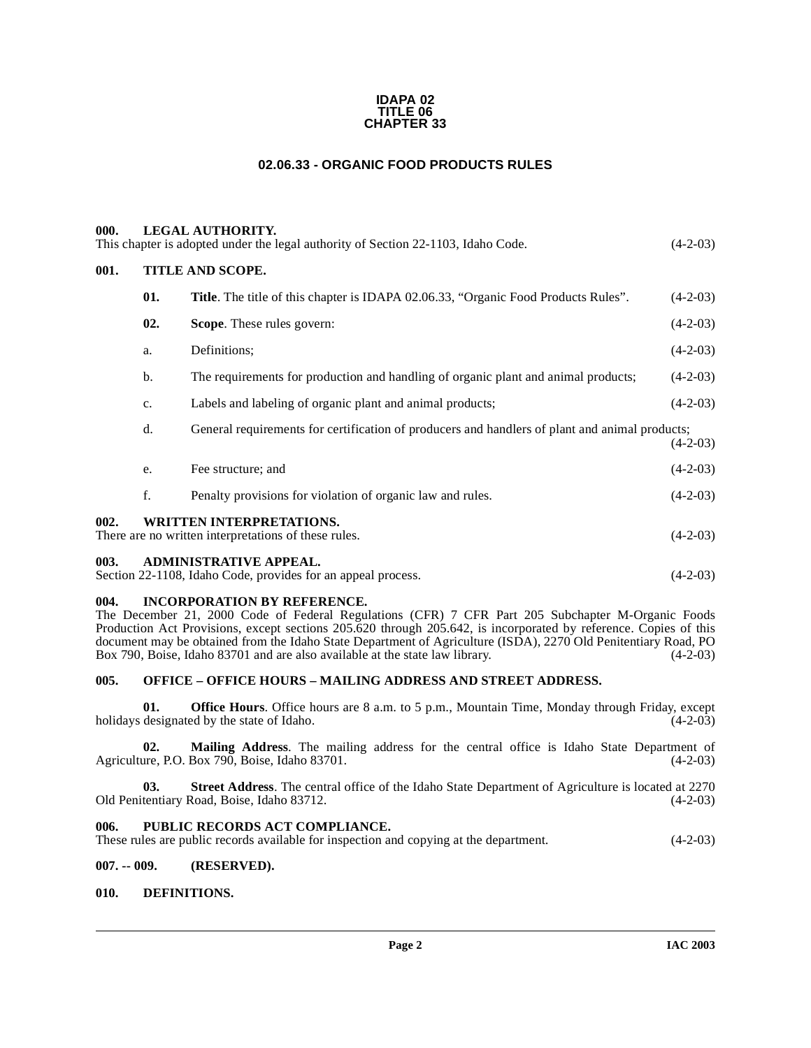#### **IDAPA 02 TITLE 06 CHAPTER 33**

### **02.06.33 - ORGANIC FOOD PRODUCTS RULES**

<span id="page-1-2"></span><span id="page-1-1"></span><span id="page-1-0"></span>

| <b>LEGAL AUTHORITY.</b><br>000.<br>This chapter is adopted under the legal authority of Section 22-1103, Idaho Code.<br>$(4-2-03)$ |                  |                                                                                                |            |
|------------------------------------------------------------------------------------------------------------------------------------|------------------|------------------------------------------------------------------------------------------------|------------|
| 001.                                                                                                                               | TITLE AND SCOPE. |                                                                                                |            |
|                                                                                                                                    | 01.              | <b>Title.</b> The title of this chapter is IDAPA 02.06.33, "Organic Food Products Rules".      | $(4-2-03)$ |
|                                                                                                                                    | 02.              | Scope. These rules govern:                                                                     | $(4-2-03)$ |
|                                                                                                                                    | a.               | Definitions;                                                                                   | $(4-2-03)$ |
|                                                                                                                                    | b.               | The requirements for production and handling of organic plant and animal products;             | $(4-2-03)$ |
|                                                                                                                                    | c.               | Labels and labeling of organic plant and animal products;                                      | $(4-2-03)$ |
|                                                                                                                                    | d.               | General requirements for certification of producers and handlers of plant and animal products; | $(4-2-03)$ |
|                                                                                                                                    | e.               | Fee structure; and                                                                             | $(4-2-03)$ |
|                                                                                                                                    | f.               | Penalty provisions for violation of organic law and rules.                                     | $(4-2-03)$ |
| 002.                                                                                                                               |                  | <b>WRITTEN INTERPRETATIONS.</b><br>There are no written interpretations of these rules.        | $(4-2-03)$ |
| <b>ADMINISTRATIVE APPEAL.</b><br>003.<br>Section 22-1108, Idaho Code, provides for an appeal process.                              |                  |                                                                                                | $(4-2-03)$ |

#### <span id="page-1-5"></span><span id="page-1-4"></span><span id="page-1-3"></span>**004. INCORPORATION BY REFERENCE.**

The December 21, 2000 Code of Federal Regulations (CFR) 7 CFR Part 205 Subchapter M-Organic Foods Production Act Provisions, except sections 205.620 through 205.642, is incorporated by reference. Copies of this document may be obtained from the Idaho State Department of Agriculture (ISDA), 2270 Old Penitentiary Road, PO<br>Box 790, Boise, Idaho 83701 and are also available at the state law library. (4-2-03) Box 790, Boise, Idaho 83701 and are also available at the state law library.

#### <span id="page-1-6"></span>**005. OFFICE – OFFICE HOURS – MAILING ADDRESS AND STREET ADDRESS.**

**01. Office Hours**. Office hours are 8 a.m. to 5 p.m., Mountain Time, Monday through Friday, except designated by the state of Idaho. (4-2-03) holidays designated by the state of Idaho.

**02. Mailing Address**. The mailing address for the central office is Idaho State Department of Agriculture, P.O. Box 790, Boise, Idaho 83701. (4-2-03)

**03.** Street Address. The central office of the Idaho State Department of Agriculture is located at 2270 tentiary Road, Boise, Idaho 83712. (4-2-03) Old Penitentiary Road, Boise, Idaho 83712.

#### <span id="page-1-7"></span>**006. PUBLIC RECORDS ACT COMPLIANCE.**

These rules are public records available for inspection and copying at the department. (4-2-03)

#### <span id="page-1-8"></span>**007. -- 009. (RESERVED).**

#### <span id="page-1-10"></span><span id="page-1-9"></span>**010. DEFINITIONS.**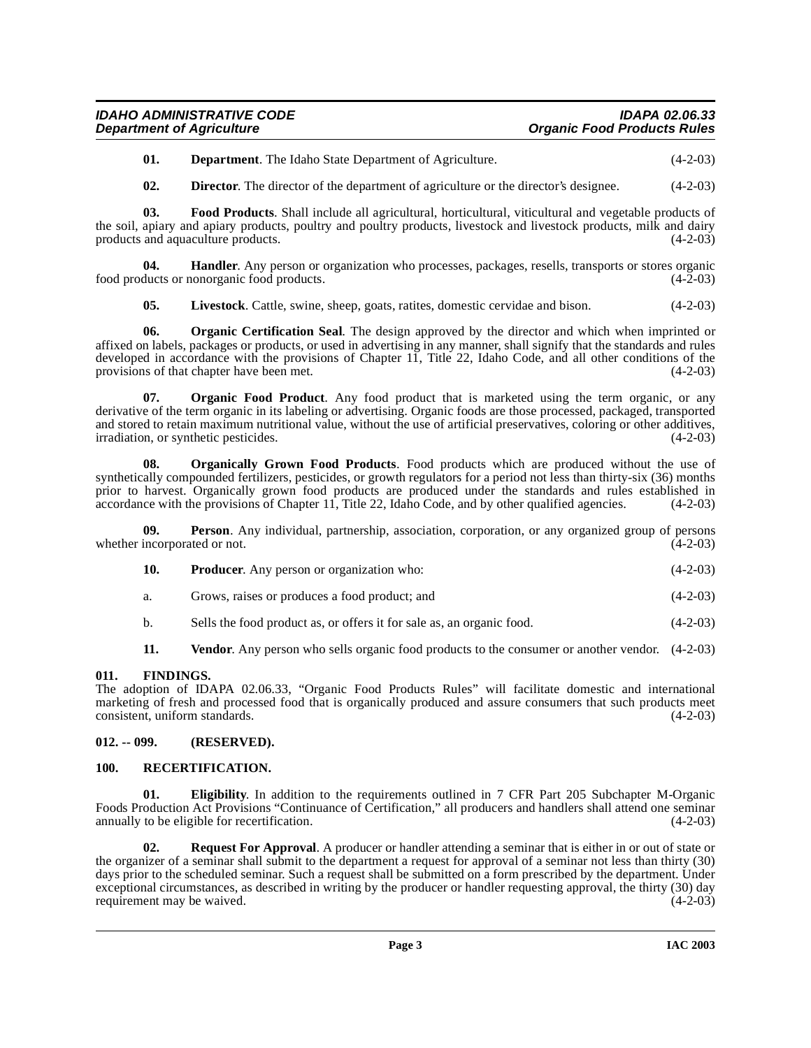| <b>IDAHO ADMINISTRATIVE CODE</b> | <b>IDAPA 02.06.33</b>              |
|----------------------------------|------------------------------------|
| <b>Department of Agriculture</b> | <b>Organic Food Products Rules</b> |

**01. Department**. The Idaho State Department of Agriculture. (4-2-03)

<span id="page-2-4"></span>**02. Director**. The director of the department of agriculture or the director's designee. (4-2-03)

**03. Food Products**. Shall include all agricultural, horticultural, viticultural and vegetable products of the soil, apiary and apiary products, poultry and poultry products, livestock and livestock products, milk and dairy products and aquaculture products. (4-2-03) products and aquaculture products.

**04. Handler**. Any person or organization who processes, packages, resells, transports or stores organic food products or nonorganic food products. (4-2-03)

<span id="page-2-6"></span><span id="page-2-5"></span>**05. Livestock**. Cattle, swine, sheep, goats, ratites, domestic cervidae and bison. (4-2-03)

**06. Organic Certification Seal**. The design approved by the director and which when imprinted or affixed on labels, packages or products, or used in advertising in any manner, shall signify that the standards and rules developed in accordance with the provisions of Chapter 11, Title 22, Idaho Code, and all other conditions of the provisions of that chapter have been met. (4-2-03)

**07. Organic Food Product**. Any food product that is marketed using the term organic, or any derivative of the term organic in its labeling or advertising. Organic foods are those processed, packaged, transported and stored to retain maximum nutritional value, without the use of artificial preservatives, coloring or other additives, irradiation, or synthetic pesticides. (4-2-03) irradiation, or synthetic pesticides.

<span id="page-2-7"></span>**08. Organically Grown Food Products**. Food products which are produced without the use of synthetically compounded fertilizers, pesticides, or growth regulators for a period not less than thirty-six (36) months prior to harvest. Organically grown food products are produced under the standards and rules established in accordance with the provisions of Chapter 11, Title 22, Idaho Code, and by other qualified agencies. (4-2-03) accordance with the provisions of Chapter 11, Title 22, Idaho Code, and by other qualified agencies.

**Person**. Any individual, partnership, association, corporation, or any organized group of persons whether incorporated or not. (4-2-03)

| 10. | <b>Producer.</b> Any person or organization who: | $(4-2-03)$ |
|-----|--------------------------------------------------|------------|
|     |                                                  |            |

- a. Grows, raises or produces a food product; and (4-2-03)
- b. Sells the food product as, or offers it for sale as, an organic food. (4-2-03)

**11.** Vendor. Any person who sells organic food products to the consumer or another vendor.  $(4-2-03)$ 

#### <span id="page-2-0"></span>**011. FINDINGS.**

The adoption of IDAPA 02.06.33, "Organic Food Products Rules" will facilitate domestic and international marketing of fresh and processed food that is organically produced and assure consumers that such products meet consistent, uniform standards. (4-2-03)

#### <span id="page-2-1"></span>**012. -- 099. (RESERVED).**

#### <span id="page-2-8"></span><span id="page-2-2"></span>**100. RECERTIFICATION.**

<span id="page-2-3"></span>**01.** Eligibility. In addition to the requirements outlined in 7 CFR Part 205 Subchapter M-Organic Foods Production Act Provisions "Continuance of Certification," all producers and handlers shall attend one seminar annually to be eligible for recertification.

<span id="page-2-9"></span>**02. Request For Approval**. A producer or handler attending a seminar that is either in or out of state or the organizer of a seminar shall submit to the department a request for approval of a seminar not less than thirty (30) days prior to the scheduled seminar. Such a request shall be submitted on a form prescribed by the department. Under exceptional circumstances, as described in writing by the producer or handler requesting approval, the thirty (30) day requirement may be waived. (4-2-03) requirement may be waived.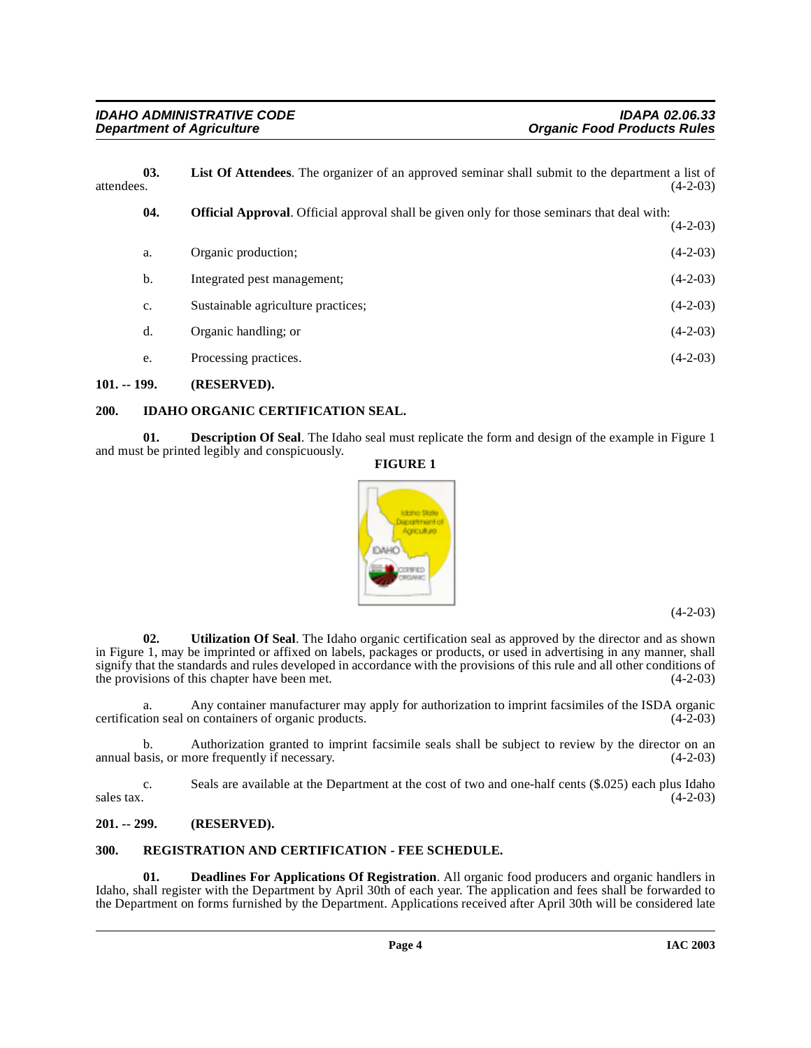| 03.<br>attendees. |     | <b>List Of Attendees.</b> The organizer of an approved seminar shall submit to the department a list of | $(4-2-03)$ |
|-------------------|-----|---------------------------------------------------------------------------------------------------------|------------|
|                   | 04. | <b>Official Approval.</b> Official approval shall be given only for those seminars that deal with:      | $(4-2-03)$ |
|                   | a.  | Organic production;                                                                                     | $(4-2-03)$ |
|                   | b.  | Integrated pest management;                                                                             | $(4-2-03)$ |
|                   | c.  | Sustainable agriculture practices;                                                                      | $(4-2-03)$ |
|                   | d.  | Organic handling; or                                                                                    | $(4-2-03)$ |
|                   | e.  | Processing practices.                                                                                   | $(4-2-03)$ |
|                   |     |                                                                                                         |            |

#### <span id="page-3-0"></span>**101. -- 199. (RESERVED).**

#### <span id="page-3-5"></span><span id="page-3-1"></span>**200. IDAHO ORGANIC CERTIFICATION SEAL.**

**01. Description Of Seal**. The Idaho seal must replicate the form and design of the example in Figure 1 and must be printed legibly and conspicuously.

## **FIGURE 1**



(4-2-03)

**02. Utilization Of Seal**. The Idaho organic certification seal as approved by the director and as shown in Figure 1, may be imprinted or affixed on labels, packages or products, or used in advertising in any manner, shall signify that the standards and rules developed in accordance with the provisions of this rule and all other conditions of the provisions of this chapter have been met. (4-2-03) the provisions of this chapter have been met.

a. Any container manufacturer may apply for authorization to imprint facsimiles of the ISDA organic certification seal on containers of organic products.

b. Authorization granted to imprint facsimile seals shall be subject to review by the director on an asis, or more frequently if necessary. (4-2-03) annual basis, or more frequently if necessary.

c. Seals are available at the Department at the cost of two and one-half cents (\$.025) each plus Idaho  $s$ ales tax.  $(4-2-03)$ 

#### <span id="page-3-2"></span>**201. -- 299. (RESERVED).**

#### <span id="page-3-6"></span><span id="page-3-3"></span>**300. REGISTRATION AND CERTIFICATION - FEE SCHEDULE.**

<span id="page-3-4"></span>**01. Deadlines For Applications Of Registration**. All organic food producers and organic handlers in Idaho, shall register with the Department by April 30th of each year. The application and fees shall be forwarded to the Department on forms furnished by the Department. Applications received after April 30th will be considered late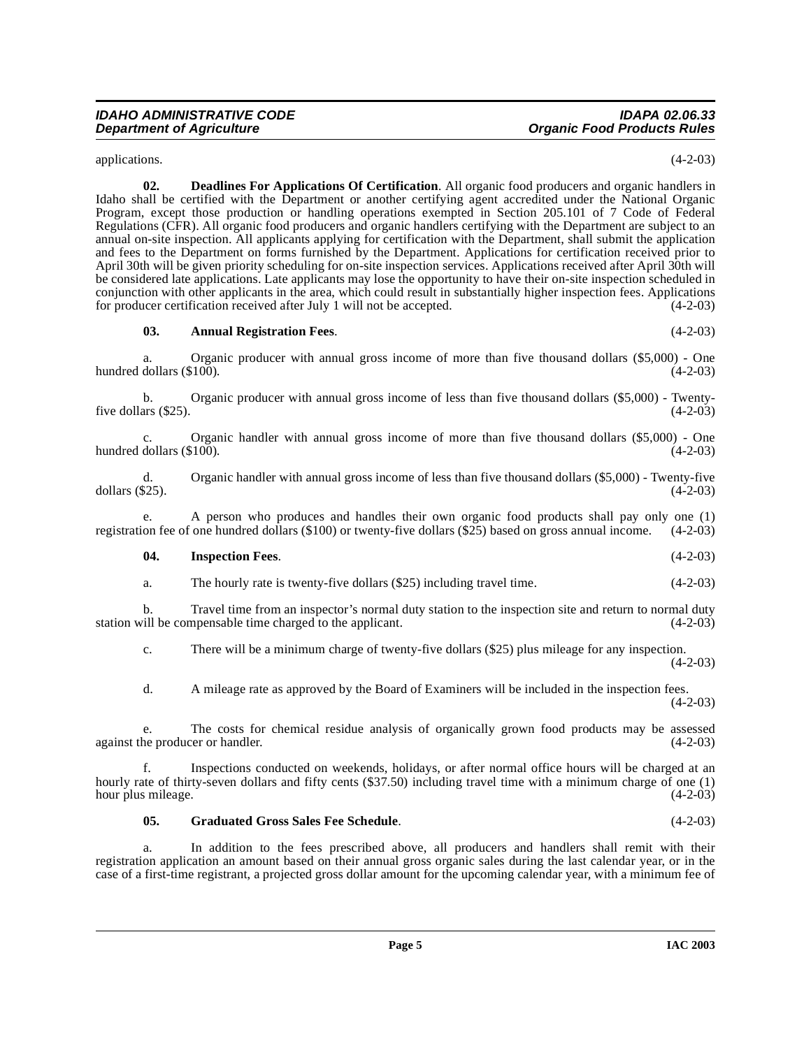applications. (4-2-03)

<span id="page-4-1"></span>**02. Deadlines For Applications Of Certification**. All organic food producers and organic handlers in Idaho shall be certified with the Department or another certifying agent accredited under the National Organic Program, except those production or handling operations exempted in Section 205.101 of 7 Code of Federal Regulations (CFR). All organic food producers and organic handlers certifying with the Department are subject to an annual on-site inspection. All applicants applying for certification with the Department, shall submit the application and fees to the Department on forms furnished by the Department. Applications for certification received prior to April 30th will be given priority scheduling for on-site inspection services. Applications received after April 30th will be considered late applications. Late applicants may lose the opportunity to have their on-site inspection scheduled in conjunction with other applicants in the area, which could result in substantially higher inspection fees. Applications for producer certification received after July 1 will not be accepted. (4-2-03)

#### <span id="page-4-0"></span>**03. Annual Registration Fees**. (4-2-03)

a. Organic producer with annual gross income of more than five thousand dollars (\$5,000) - One dollars (\$100). (4-2-03) hundred dollars  $(\$100)$ .

b. Organic producer with annual gross income of less than five thousand dollars (\$5,000) - Twentyfive dollars  $(\$25)$ . (4-2-03)

c. Organic handler with annual gross income of more than five thousand dollars (\$5,000) - One hundred dollars  $(\$100)$ .

d. Organic handler with annual gross income of less than five thousand dollars (\$5,000) - Twenty-five dollars (\$25). (4-2-03)

e. A person who produces and handles their own organic food products shall pay only one (1) on fee of one hundred dollars (\$100) or twenty-five dollars (\$25) based on gross annual income. (4-2-03) registration fee of one hundred dollars  $(\$100)$  or twenty-five dollars  $(\$25)$  based on gross annual income.

#### <span id="page-4-3"></span>**04. Inspection Fees**. (4-2-03)

a. The hourly rate is twenty-five dollars (\$25) including travel time. (4-2-03)

b. Travel time from an inspector's normal duty station to the inspection site and return to normal duty station will be compensable time charged to the applicant. (4-2-03)

c. There will be a minimum charge of twenty-five dollars (\$25) plus mileage for any inspection. (4-2-03)

d. A mileage rate as approved by the Board of Examiners will be included in the inspection fees.  $(4-2-03)$ 

e. The costs for chemical residue analysis of organically grown food products may be assessed ne producer or handler. (4-2-03) against the producer or handler.

f. Inspections conducted on weekends, holidays, or after normal office hours will be charged at an hourly rate of thirty-seven dollars and fifty cents (\$37.50) including travel time with a minimum charge of one (1) hour plus mileage. (4-2-03)

#### <span id="page-4-2"></span>**05. Graduated Gross Sales Fee Schedule**. (4-2-03)

a. In addition to the fees prescribed above, all producers and handlers shall remit with their registration application an amount based on their annual gross organic sales during the last calendar year, or in the case of a first-time registrant, a projected gross dollar amount for the upcoming calendar year, with a minimum fee of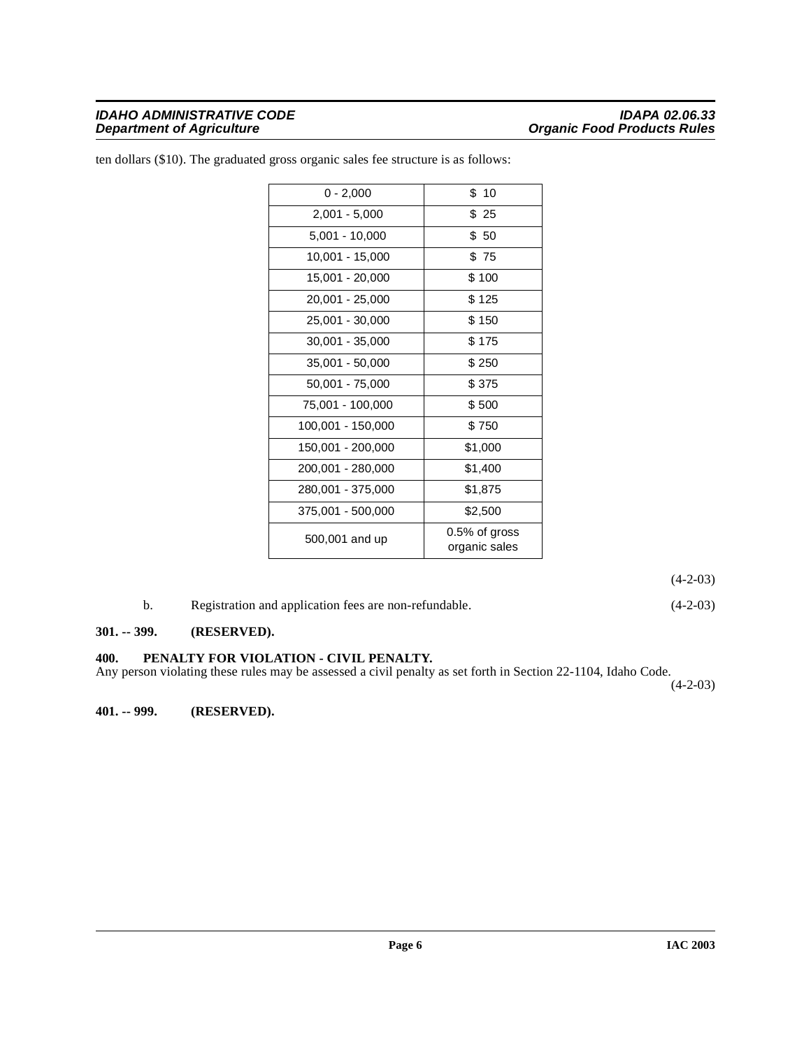#### **IDAHO ADMINISTRATIVE CODE IDAPA 02.06.33 Department of Agriculture Community Community Community Community Community Organic Food Products Rules**

| $0 - 2,000$       | \$10                              |
|-------------------|-----------------------------------|
| $2,001 - 5,000$   | \$25                              |
| $5,001 - 10,000$  | \$50                              |
| 10,001 - 15,000   | \$75                              |
| 15,001 - 20,000   | \$100                             |
| 20,001 - 25,000   | \$125                             |
| 25,001 - 30,000   | \$150                             |
| 30,001 - 35,000   | \$175                             |
| 35,001 - 50,000   | \$250                             |
| 50,001 - 75,000   | \$375                             |
| 75,001 - 100,000  | \$500                             |
| 100,001 - 150,000 | \$750                             |
| 150,001 - 200,000 | \$1,000                           |
| 200,001 - 280,000 | \$1,400                           |
| 280,001 - 375,000 | \$1,875                           |
| 375,001 - 500,000 | \$2,500                           |
| 500,001 and up    | $0.5\%$ of gross<br>organic sales |

ten dollars (\$10). The graduated gross organic sales fee structure is as follows:

(4-2-03)

b. Registration and application fees are non-refundable. (4-2-03)

#### <span id="page-5-0"></span>**301. -- 399. (RESERVED).**

#### <span id="page-5-1"></span>**400. PENALTY FOR VIOLATION - CIVIL PENALTY.**

Any person violating these rules may be assessed a civil penalty as set forth in Section 22-1104, Idaho Code.

 $(4-2-03)$ 

<span id="page-5-2"></span>**401. -- 999. (RESERVED).**